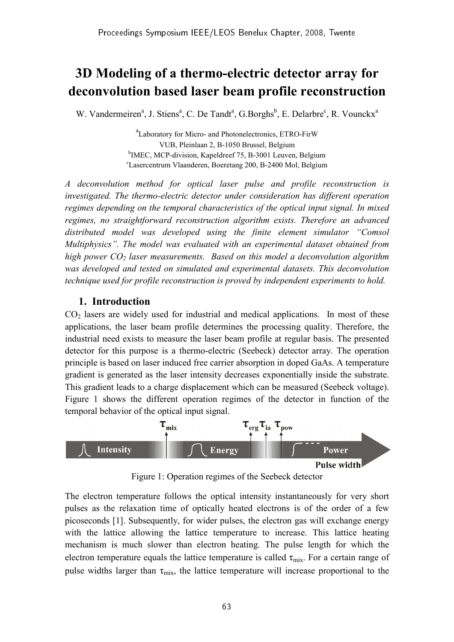# 3D Modeling of a thermo-electric detector array for deconvolution based laser beam profile reconstruction

W. Vandermeiren<sup>a</sup>, J. Stiens<sup>a</sup>, C. De Tandt<sup>a</sup>, G.Borghs<sup>b</sup>, E. Delarbre<sup>c</sup>, R. Vounckx<sup>a</sup>

a Laboratory for Micro- and Photonelectronics, ETRO-FirW VUB, Pleinlaan 2, B-1050 Brussel, Belgium <sup>b</sup>IMEC, MCP-division, Kapeldreef 75, B-3001 Leuven, Belgium <sup>c</sup>Lasercentrum Vlaanderen, Boeretang 200, B-2400 Mol, Belgium

A deconvolution method for optical laser pulse and profile reconstruction is investigated. The thermo-electric detector under consideration has different operation regimes depending on the temporal characteristics of the optical input signal. In mixed regimes, no straightforward reconstruction algorithm exists. Therefore an advanced distributed model was developed using the finite element simulator "Comsol Multiphysics". The model was evaluated with an experimental dataset obtained from high power  $CO<sub>2</sub>$  laser measurements. Based on this model a deconvolution algorithm was developed and tested on simulated and experimental datasets. This deconvolution technique used for profile reconstruction is proved by independent experiments to hold.

## 1. Introduction

 $CO<sub>2</sub>$  lasers are widely used for industrial and medical applications. In most of these applications, the laser beam profile determines the processing quality. Therefore, the industrial need exists to measure the laser beam profile at regular basis. The presented detector for this purpose is a thermo-electric (Seebeck) detector array. The operation principle is based on laser induced free carrier absorption in doped GaAs. A temperature gradient is generated as the laser intensity decreases exponentially inside the substrate. This gradient leads to a charge displacement which can be measured (Seebeck voltage). Figure 1 shows the different operation regimes of the detector in function of the temporal behavior of the optical input signal.



Figure 1: Operation regimes of the Seebeck detector

The electron temperature follows the optical intensity instantaneously for very short pulses as the relaxation time of optically heated electrons is of the order of a few picoseconds [1]. Subsequently, for wider pulses, the electron gas will exchange energy with the lattice allowing the lattice temperature to increase. This lattice heating mechanism is much slower than electron heating. The pulse length for which the electron temperature equals the lattice temperature is called  $\tau_{mix}$ . For a certain range of pulse widths larger than  $\tau_{mix}$ , the lattice temperature will increase proportional to the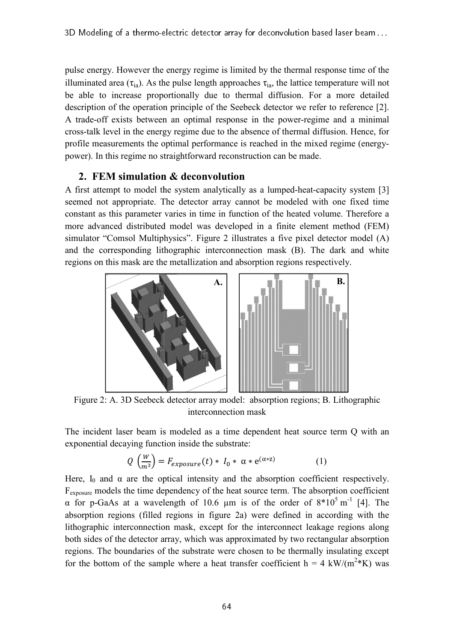pulse energy. However the energy regime is limited by the thermal response time of the illuminated area ( $\tau_{ia}$ ). As the pulse length approaches  $\tau_{ia}$ , the lattice temperature will not be able to increase proportionally due to thermal diffusion. For a more detailed description of the operation principle of the Seebeck detector we refer to reference [2]. A trade-off exists between an optimal response in the power-regime and a minimal A trade-off exists between an optimal response in the power-regime and a minimal cross-talk level in the energy regime due to the absence of thermal diffusion. Hence, for profile measurements the optimal performance is reached in the mixed regime (energypower). In this regime no straightforward reconstruction can be made.

### 2. FEM simulation & deconvolution

A first attempt to model the system analytically as a lumped-heat-capacity system [3] seemed not appropriate. The detector array cannot be modeled with one fixed time constant as this parameter varies in time in function of the heated volume. Therefore a more advanced distributed model was developed in a finite element method (FEM) simulator "Comsol Multiphysics". Figure 2 illustrates a five pixel detector model (A) and the corresponding lithographic interconnection mask (B). The dark and white regions on this mask are the metallization and absorption regions respectively.



Figure 2: A. 3D Seebeck detector array model: absorption regions; B. Lithographic interconnection mask

The incident laser beam is modeled as a time dependent heat source term Q with an exponential decaying function inside the substrate:

$$
Q\left(\frac{W}{m^3}\right) = F_{exposure}(t) * I_0 * \alpha * e^{(\alpha * z)} \tag{1}
$$

Here,  $I_0$  and  $\alpha$  are the optical intensity and the absorption coefficient respectively. F<sub>exposure</sub> models the time dependency of the heat source term. The absorption coefficient α for p-GaAs at a wavelength of 10.6  $\mu$ m is of the order of 8\*10<sup>5</sup> m<sup>-1</sup> [4]. The absorption regions (filled regions in figure 2 2a) were defined in according with the lithographic interconnection mask, except for the interconnect leakage regions along both sides of the detector array, which was approximated by two rectangular absorption regions. The boundaries of the substrate were chosen to be thermally insulating except for the bottom of the sample where a heat transfer coefficient  $h = 4 \text{ kW/(m}^2 \text{*K)}$  was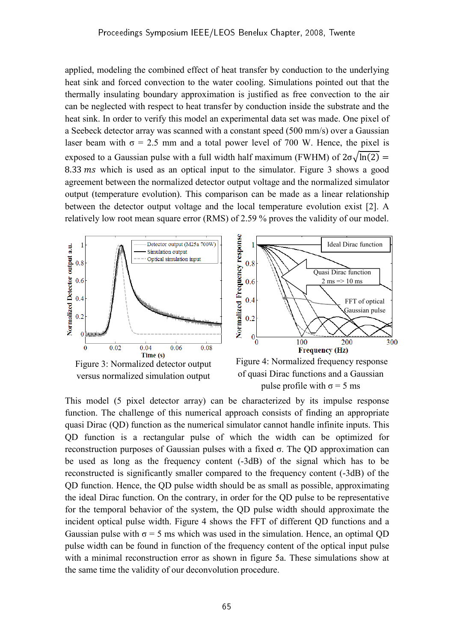applied, modeling the combined effect of heat transfer by conduction to the underlying heat sink and forced convection to the water cooling. Simulations pointed out that the thermally insulating boundary approximation is justified as free convection to the air can be neglected with respect to heat transfer by conduction inside the substrate and the heat sink. In order to verify this model an experimental data set was made. One pixel of a Seebeck detector array was scanned with a constant speed (500 mm/s) over a Gaussian laser beam with  $\sigma = 2.5$  mm and a total power level of 700 W. Hence, the pixel is exposed to a Gaussian pulse with a full width half maximum (FWHM) of  $2\sigma\sqrt{\ln(2)}$  = 8.33  $\text{ms}$  which is used as an optical input to the simulator. Figure 3 shows a good agreement between the normalized detector output voltage and the normalized simulator output (temperature evolution). This comparison can be made as a linear relationship between the detector output voltage and the local temperature evolution exist [2]. A relatively low root mean square error (RMS) of 2.59 % proves the validity of our model.



This model (5 pixel detector array) can be characterized by its impulse response function. The challenge of this numerical approach consists of finding an appropriate quasi Dirac (QD) function as the numerical simulator cannot handle infinite inputs. This QD function is a rectangular pulse of which the width can be optimized for reconstruction purposes of Gaussian pulses with a fixed σ. The QD approximation can be used as long as the frequency content (-3dB) of the signal which has to be reconstructed is significantly smaller compared to the frequency content (-3dB) of the QD function. Hence, the QD pulse width should be as small as possible, approximating the ideal Dirac function. On the contrary, in order for the QD pulse to be representative for the temporal behavior of the system, the QD pulse width should approximate the incident optical pulse width. Figure 4 shows the FFT of different QD functions and a Gaussian pulse with  $\sigma = 5$  ms which was used in the simulation. Hence, an optimal OD pulse width can be found in function of the frequency content of the optical input pulse with a minimal reconstruction error as shown in figure 5a. These simulations show at the same time the validity of our deconvolution procedure.